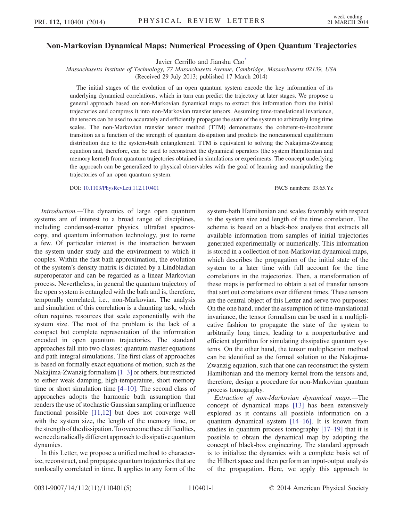## <span id="page-0-0"></span>Non-Markovian Dynamical Maps: Numerical Processing of Open Quantum Trajectories

Javier Cerrillo and Jianshu Cao<sup>\*</sup>

Massachusetts Institute of Technology, 77 Massachusetts Avenue, Cambridge, Massachusetts 02139, USA

(Received 29 July 2013; published 17 March 2014)

The initial stages of the evolution of an open quantum system encode the key information of its underlying dynamical correlations, which in turn can predict the trajectory at later stages. We propose a general approach based on non-Markovian dynamical maps to extract this information from the initial trajectories and compress it into non-Markovian transfer tensors. Assuming time-translational invariance, the tensors can be used to accurately and efficiently propagate the state of the system to arbitrarily long time scales. The non-Markovian transfer tensor method (TTM) demonstrates the coherent-to-incoherent transition as a function of the strength of quantum dissipation and predicts the noncanonical equilibrium distribution due to the system-bath entanglement. TTM is equivalent to solving the Nakajima-Zwanzig equation and, therefore, can be used to reconstruct the dynamical operators (the system Hamiltonian and memory kernel) from quantum trajectories obtained in simulations or experiments. The concept underlying the approach can be generalized to physical observables with the goal of learning and manipulating the trajectories of an open quantum system.

DOI: [10.1103/PhysRevLett.112.110401](http://dx.doi.org/10.1103/PhysRevLett.112.110401) PACS numbers: 03.65.Yz

Introduction.—The dynamics of large open quantum systems are of interest to a broad range of disciplines, including condensed-matter physics, ultrafast spectroscopy, and quantum information technology, just to name a few. Of particular interest is the interaction between the system under study and the environment to which it couples. Within the fast bath approximation, the evolution of the system's density matrix is dictated by a Lindbladian superoperator and can be regarded as a linear Markovian process. Nevertheless, in general the quantum trajectory of the open system is entangled with the bath and is, therefore, temporally correlated, i.e., non-Markovian. The analysis and simulation of this correlation is a daunting task, which often requires resources that scale exponentially with the system size. The root of the problem is the lack of a compact but complete representation of the information encoded in open quantum trajectories. The standard approaches fall into two classes: quantum master equations and path integral simulations. The first class of approaches is based on formally exact equations of motion, such as the Nakajima-Zwanzig formalism [\[1](#page-4-1)–3] or others, but restricted to either weak damping, high-temperature, short memory time or short simulation time [4–[10\].](#page-4-2) The second class of approaches adopts the harmonic bath assumption that renders the use of stochastic Gaussian sampling or influence functional possible [\[11,12\]](#page-4-3) but does not converge well with the system size, the length of the memory time, or the strength of the dissipation. To overcome these difficulties, we need a radically different approachto dissipative quantum dynamics.

In this Letter, we propose a unified method to characterize, reconstruct, and propagate quantum trajectories that are nonlocally correlated in time. It applies to any form of the system-bath Hamiltonian and scales favorably with respect to the system size and length of the time correlation. The scheme is based on a black-box analysis that extracts all available information from samples of initial trajectories generated experimentally or numerically. This information is stored in a collection of non-Markovian dynamical maps, which describes the propagation of the initial state of the system to a later time with full account for the time correlations in the trajectories. Then, a transformation of these maps is performed to obtain a set of transfer tensors that sort out correlations over different times. These tensors are the central object of this Letter and serve two purposes: On the one hand, under the assumption of time-translational invariance, the tensor formalism can be used in a multiplicative fashion to propagate the state of the system to arbitrarily long times, leading to a nonperturbative and efficient algorithm for simulating dissipative quantum systems. On the other hand, the tensor multiplication method can be identified as the formal solution to the Nakajima-Zwanzig equation, such that one can reconstruct the system Hamiltonian and the memory kernel from the tensors and, therefore, design a procedure for non-Markovian quantum process tomography.

Extraction of non-Markovian dynamical maps.—The concept of dynamical maps [\[13\]](#page-4-4) has been extensively explored as it contains all possible information on a quantum dynamical system [\[14](#page-4-5)–16]. It is known from studies in quantum process tomography [\[17](#page-4-6)–19] that it is possible to obtain the dynamical map by adopting the concept of black-box engineering. The standard approach is to initialize the dynamics with a complete basis set of the Hilbert space and then perform an input-output analysis of the propagation. Here, we apply this approach to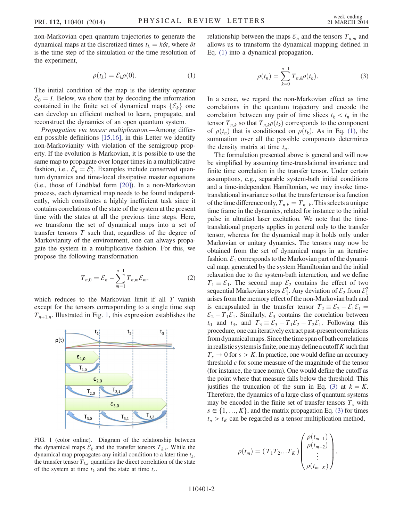<span id="page-1-1"></span>non-Markovian open quantum trajectories to generate the dynamical maps at the discretized times  $t_k = k\delta t$ , where  $\delta t$ is the time step of the simulation or the time resolution of the experiment,

$$
\rho(t_k) = \mathcal{E}_k \rho(0). \tag{1}
$$

The initial condition of the map is the identity operator  $\mathcal{E}_0 = I$ . Below, we show that by decoding the information contained in the finite set of dynamical maps  $\{\mathcal{E}_k\}$  one can develop an efficient method to learn, propagate, and reconstruct the dynamics of an open quantum system.

Propagation via tensor multiplication.—Among different possible definitions [\[15,16\]](#page-4-7), in this Letter we identify non-Markovianity with violation of the semigroup property. If the evolution is Markovian, it is possible to use the same map to propagate over longer times in a multiplicative fashion, i.e.,  $\mathcal{E}_n = \mathcal{E}_1^n$ . Examples include conserved quan-<br>tum dynamics and time-local dissinative master equations tum dynamics and time-local dissipative master equations (i.e., those of Lindblad form [\[20\]](#page-4-8)). In a non-Markovian process, each dynamical map needs to be found independently, which constitutes a highly inefficient task since it contains correlations of the state of the system at the present time with the states at all the previous time steps. Here, we transform the set of dynamical maps into a set of transfer tensors T such that, regardless of the degree of Markovianity of the environment, one can always propagate the system in a multiplicative fashion. For this, we propose the following transformation

$$
T_{n,0} = \mathcal{E}_n - \sum_{m=1}^{n-1} T_{n,m} \mathcal{E}_m,
$$
 (2)

<span id="page-1-3"></span>which reduces to the Markovian limit if all T vanish except for the tensors corresponding to a single time step  $T_{n+1,n}$  $T_{n+1,n}$  $T_{n+1,n}$ . Illustrated in Fig. 1, this expression establishes the

<span id="page-1-0"></span>

FIG. 1 (color online). Diagram of the relationship between the dynamical maps  $\mathcal{E}_k$  and the transfer tensors  $T_{k,r}$ . While the dynamical map propagates any initial condition to a later time  $t_k$ , the transfer tensor  $T_{k,r}$  quantifies the direct correlation of the state of the system at time  $t_k$  and the state at time  $t_r$ .

<span id="page-1-2"></span>relationship between the maps  $\mathcal{E}_n$  and the tensors  $T_{n,m}$  and allows us to transform the dynamical mapping defined in Eq. [\(1\)](#page-1-1) into a dynamical propagation,

$$
\rho(t_n) = \sum_{k=0}^{n-1} T_{n,k} \rho(t_k).
$$
 (3)

In a sense, we regard the non-Markovian effect as time correlations in the quantum trajectory and encode the correlation between any pair of time slices  $t_k < t_n$  in the tensor  $T_{n,k}$  so that  $T_{n,k}\rho(t_k)$  corresponds to the component of  $\rho(t_n)$  that is conditioned on  $\rho(t_k)$ . As in Eq. [\(1\)](#page-1-1), the summation over all the possible components determines the density matrix at time  $t_n$ .

The formulation presented above is general and will now be simplified by assuming time-translational invariance and finite time correlation in the transfer tensor. Under certain assumptions, e.g., separable system-bath initial conditions and a time-independent Hamiltonian, we may invoke timetranslational invariance so that the transfer tensor is a function of the time difference only,  $T_{n,k} = T_{n-k}$ . This selects a unique time frame in the dynamics, related for instance to the initial pulse in ultrafast laser excitation. We note that the timetranslational property applies in general only to the transfer tensor, whereas for the dynamical map it holds only under Markovian or unitary dynamics. The tensors may now be obtained from the set of dynamical maps in an iterative fashion.  $\mathcal{E}_1$  corresponds to the Markovian part of the dynamical map, generated by the system Hamiltonian and the initial relaxation due to the system-bath interaction, and we define  $T_1 \equiv \mathcal{E}_1$ . The second map  $\mathcal{E}_2$  contains the effect of two sequential Markovian steps  $\mathcal{E}_1^2$ . Any deviation of  $\mathcal{E}_2$  from  $\mathcal{E}_1^2$ arises from the memory effect of the non-Markovian bath and is encapsulated in the transfer tensor  $T_2 = \mathcal{E}_2 - \mathcal{E}_1 \mathcal{E}_1 =$  $\mathcal{E}_2 - T_1 \mathcal{E}_1$ . Similarly,  $\mathcal{E}_3$  contains the correlation between  $t_0$  and  $t_3$ , and  $T_3 = \mathcal{E}_3 - T_1 \mathcal{E}_2 - T_2 \mathcal{E}_1$ . Following this procedure, one can iteratively extract past-present correlations from dynamical maps. Since the time span of bath correlations in realistic systems is finite, one may define a cutoff  $K$  such that  $T_s \rightarrow 0$  for  $s > K$ . In practice, one would define an accuracy threshold  $\epsilon$  for some measure of the magnitude of the tensor (for instance, the trace norm). One would define the cutoff as the point where that measure falls below the threshold. This justifies the truncation of the sum in Eq. [\(3\)](#page-1-2) at  $k = K$ . Therefore, the dynamics of a large class of quantum systems may be encoded in the finite set of transfer tensors  $T<sub>s</sub>$  with  $s \in \{1, ..., K\}$ , and the matrix propagation Eq. [\(3\)](#page-1-2) for times  $t_n > t_K$  can be regarded as a tensor multiplication method,

$$
\rho(t_m) = (T_1 T_2 ... T_K) \begin{pmatrix} \rho(t_{m-1}) \\ \rho(t_{m-2}) \\ \vdots \\ \rho(t_{m-K}) \end{pmatrix},
$$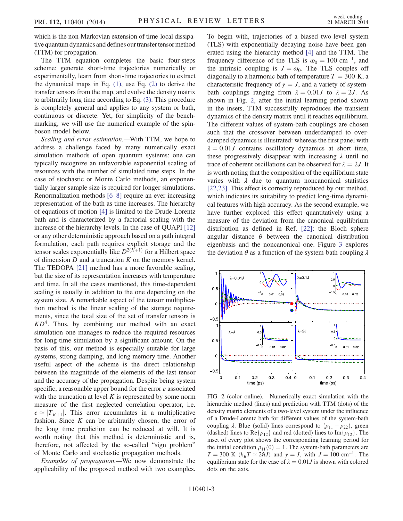which is the non-Markovian extension of time-local dissipative quantum dynamics and defines our transfer tensor method (TTM) for propagation.

The TTM equation completes the basic four-steps scheme: generate short-time trajectories numerically or experimentally, learn from short-time trajectories to extract the dynamical maps in Eq.  $(1)$ , use Eq.  $(2)$  to derive the transfer tensors from the map, and evolve the density matrix to arbitrarily long time according to Eq. [\(3\).](#page-1-2) This procedure is completely general and applies to any system or bath, continuous or discrete. Yet, for simplicity of the benchmarking, we will use the numerical example of the spinboson model below.

Scaling and error estimation.—With TTM, we hope to address a challenge faced by many numerically exact simulation methods of open quantum systems: one can typically recognize an unfavorable exponential scaling of resources with the number of simulated time steps. In the case of stochastic or Monte Carlo methods, an exponentially larger sample size is required for longer simulations. Renormalization methods [6–[8\]](#page-4-9) require an ever increasing representation of the bath as time increases. The hierarchy of equations of motion [\[4\]](#page-4-2) is limited to the Drude-Lorentz bath and is characterized by a factorial scaling with the increase of the hierarchy levels. In the case of QUAPI [\[12\]](#page-4-10) or any other deterministic approach based on a path integral formulation, each path requires explicit storage and the tensor scales exponentially like  $D^{2(K+1)}$  for a Hilbert space of dimension  $D$  and a truncation  $K$  on the memory kernel. The TEDOPA [\[21\]](#page-4-11) method has a more favorable scaling, but the size of its representation increases with temperature and time. In all the cases mentioned, this time-dependent scaling is usually in addition to the one depending on the system size. A remarkable aspect of the tensor multiplication method is the linear scaling of the storage requirements, since the total size of the set of transfer tensors is  $KD<sup>4</sup>$ . Thus, by combining our method with an exact simulation one manages to reduce the required resources for long-time simulation by a significant amount. On the basis of this, our method is especially suitable for large systems, strong damping, and long memory time. Another useful aspect of the scheme is the direct relationship between the magnitude of the elements of the last tensor and the accuracy of the propagation. Despite being system specific, a reasonable upper bound for the error e associated with the truncation at level  $K$  is represented by some norm measure of the first neglected correlation operator, i.e.  $e \approx |T_{K+1}|$ . This error accumulates in a multiplicative fashion. Since  $K$  can be arbitrarily chosen, the error of the long time prediction can be reduced at will. It is worth noting that this method is deterministic and is, therefore, not affected by the so-called "sign problem" of Monte Carlo and stochastic propagation methods.

Examples of propagation.—We now demonstrate the applicability of the proposed method with two examples. To begin with, trajectories of a biased two-level system (TLS) with exponentially decaying noise have been generated using the hierarchy method [\[4\]](#page-4-2) and the TTM. The frequency difference of the TLS is  $\omega_0 = 100 \text{ cm}^{-1}$ , and the intrinsic coupling is  $J = \omega_0$ . The TLS couples off diagonally to a harmonic bath of temperature  $T = 300$  K, a characteristic frequency of  $\gamma = J$ , and a variety of systembath couplings ranging from  $\lambda = 0.01J$  to  $\lambda = 2J$ . As shown in Fig. [2](#page-2-0), after the initial learning period shown in the insets, TTM successfully reproduces the transient dynamics of the density matrix until it reaches equilibrium. The different values of system-bath couplings are chosen such that the crossover between underdamped to overdamped dynamics is illustrated: whereas the first panel with  $\lambda = 0.01J$  contains oscillatory dynamics at short time, these progressively disappear with increasing  $\lambda$  until no trace of coherent oscillations can be observed for  $\lambda = 2J$ . It is worth noting that the composition of the equilibrium state varies with  $\lambda$  due to quantum noncanonical statistics [\[22,23\]](#page-4-12). This effect is correctly reproduced by our method, which indicates its suitability to predict long-time dynamical features with high accuracy. As the second example, we have further explored this effect quantitatively using a measure of the deviation from the canonical equilibrium distribution as defined in Ref. [\[22\]:](#page-4-12) the Bloch sphere angular distance  $\theta$  between the canonical distribution eigenbasis and the noncanonical one. Figure [3](#page-3-0) explores the deviation  $\theta$  as a function of the system-bath coupling  $\lambda$ 

<span id="page-2-0"></span>

FIG. 2 (color online). Numerically exact simulation with the hierarchic method (lines) and prediction with TTM (dots) of the density matrix elements of a two-level system under the influence of a Drude-Lorentz bath for different values of the system-bath coupling  $\lambda$ . Blue (solid) lines correspond to  $(\rho_{11} - \rho_{22})$ , green (dashed) lines to  $\text{Re}\{\rho_{12}\}\$  and red (dotted) lines to  $\text{Im}\{\rho_{12}\}\$ . The inset of every plot shows the corresponding learning period for the initial condition  $\rho_{11}(0) = 1$ . The system-bath parameters are  $T = 300 \text{ K}$  ( $k_B T \approx 2 \hbar J$ ) and  $\gamma = J$ , with  $J = 100 \text{ cm}^{-1}$ . The equilibrium state for the case of  $\lambda = 0.01J$  is shown with colored dots on the axis.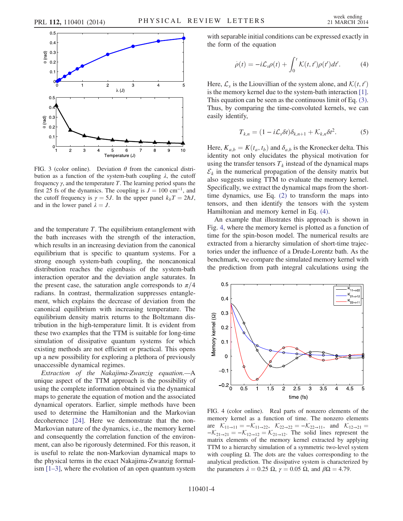<span id="page-3-0"></span>

FIG. 3 (color online). Deviation  $\theta$  from the canonical distribution as a function of the system-bath coupling  $\lambda$ , the cutoff frequency  $\gamma$ , and the temperature T. The learning period spans the first 25 fs of the dynamics. The coupling is  $J = 100 \text{ cm}^{-1}$ , and the cutoff frequency is  $\gamma = 5J$ . In the upper panel  $k_bT = 2\hbar J$ , and in the lower panel  $\lambda = J$ .

and the temperature T. The equilibrium entanglement with the bath increases with the strength of the interaction, which results in an increasing deviation from the canonical equilibrium that is specific to quantum systems. For a strong enough system-bath coupling, the noncanonical distribution reaches the eigenbasis of the system-bath interaction operator and the deviation angle saturates. In the present case, the saturation angle corresponds to  $\pi/4$ radians. In contrast, thermalization suppresses entanglement, which explains the decrease of deviation from the canonical equilibrium with increasing temperature. The equilibrium density matrix returns to the Boltzmann distribution in the high-temperature limit. It is evident from these two examples that the TTM is suitable for long-time simulation of dissipative quantum systems for which existing methods are not efficient or practical. This opens up a new possibility for exploring a plethora of previously unaccessible dynamical regimes.

Extraction of the Nakajima-Zwanzig equation.—A unique aspect of the TTM approach is the possibility of using the complete information obtained via the dynamical maps to generate the equation of motion and the associated dynamical operators. Earlier, simple methods have been used to determine the Hamiltonian and the Markovian decoherence [\[24\]](#page-4-13). Here we demonstrate that the non-Markovian nature of the dynamics, i.e., the memory kernel and consequently the correlation function of the environment, can also be rigorously determined. For this reason, it is useful to relate the non-Markovian dynamical maps to the physical terms in the exact Nakajima-Zwanzig formalism [1–[3\]](#page-4-1), where the evolution of an open quantum system <span id="page-3-1"></span>with separable initial conditions can be expressed exactly in the form of the equation

$$
\dot{\rho}(t) = -i\mathcal{L}_s \rho(t) + \int_0^t \mathcal{K}(t, t') \rho(t') dt'. \tag{4}
$$

Here,  $\mathcal{L}_s$  is the Liouvillian of the system alone, and  $\mathcal{K}(t,t')$ is the memory kernel due to the system-bath interaction  $[1]$ . This equation can be seen as the continuous limit of Eq. [\(3\)](#page-1-2). Thus, by comparing the time-convoluted kernels, we can easily identify,

$$
T_{k,n} = (1 - i\mathcal{L}_s \delta t) \delta_{k,n+1} + \mathcal{K}_{k,n} \delta t^2.
$$
 (5)

Here,  $K_{a,b} = K(t_a, t_b)$  and  $\delta_{a,b}$  is the Kronecker delta. This identity not only elucidates the physical motivation for using the transfer tensors  $T_k$  instead of the dynamical maps  $\mathcal{E}_k$  in the numerical propagation of the density matrix but also suggests using TTM to evaluate the memory kernel. Specifically, we extract the dynamical maps from the shorttime dynamics, use Eq. [\(2\)](#page-1-3) to transform the maps into tensors, and then identify the tensors with the system Hamiltonian and memory kernel in Eq. [\(4\).](#page-3-1)

An example that illustrates this approach is shown in Fig. [4](#page-3-2), where the memory kernel is plotted as a function of time for the spin-boson model. The numerical results are extracted from a hierarchy simulation of short-time trajectories under the influence of a Drude-Lorentz bath. As the benchmark, we compare the simulated memory kernel with the prediction from path integral calculations using the

<span id="page-3-2"></span>

FIG. 4 (color online). Real parts of nonzero elements of the memory kernel as a function of time. The nonzero elements are  $\mathcal{K}_{11\rightarrow11} = -\mathcal{K}_{11\rightarrow22}$ ,  $\mathcal{K}_{22\rightarrow22} = -\mathcal{K}_{22\rightarrow11}$ , and  $\mathcal{K}_{12\rightarrow21} =$  $-K_{21\rightarrow 21} = -K_{12\rightarrow 12} = K_{21\rightarrow 12}$ . The solid lines represent the matrix elements of the memory kernel extracted by applying TTM to a hierarchy simulation of a symmetric two-level system with coupling  $\Omega$ . The dots are the values corresponding to the analytical prediction. The dissipative system is characterized by the parameters  $\lambda = 0.25 \Omega$ ,  $\gamma = 0.05 \Omega$ , and  $\beta \Omega = 4.79$ .